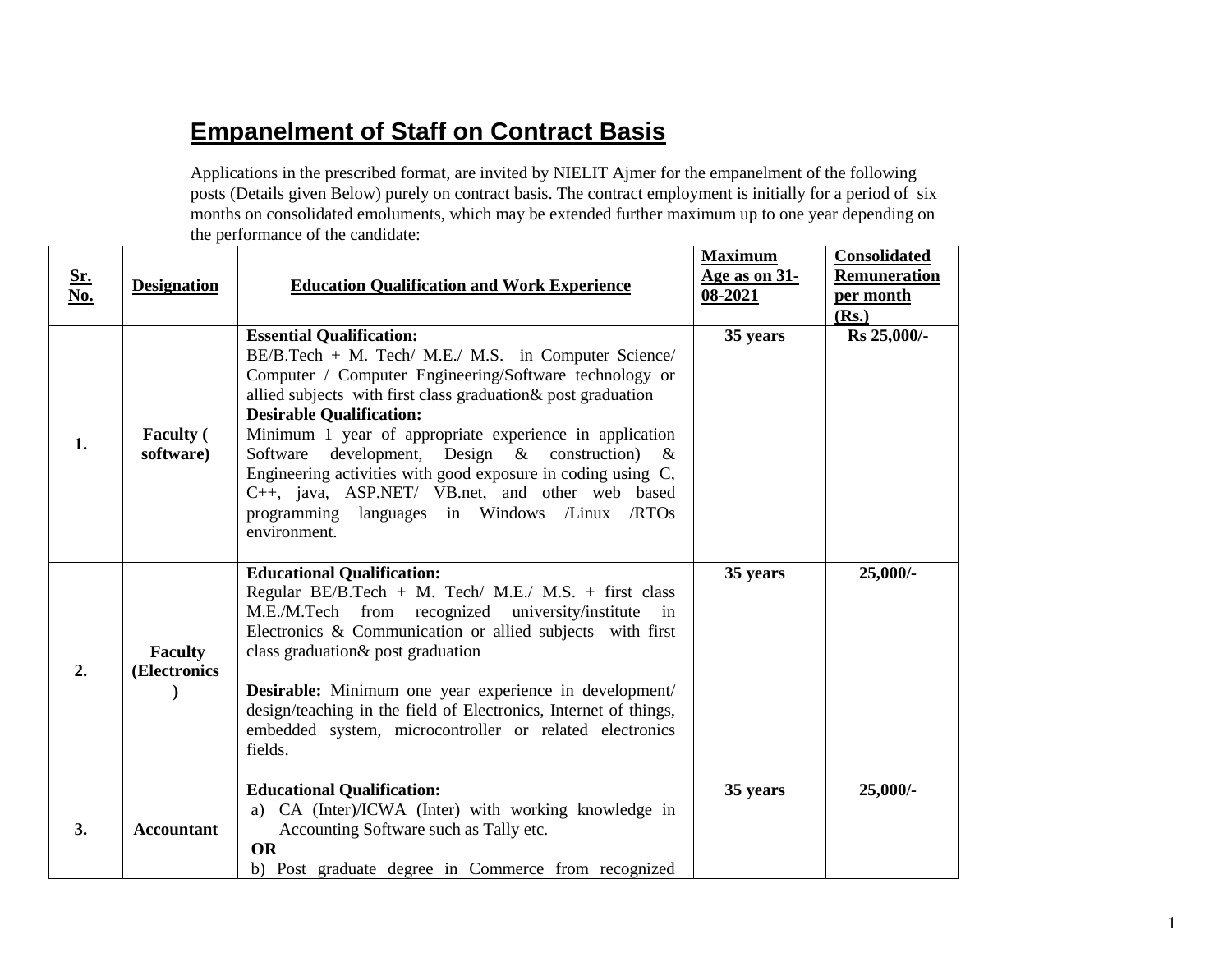## **Empanelment of Staff on Contract Basis**

Applications in the prescribed format, are invited by NIELIT Ajmer for the empanelment of the following posts (Details given Below) purely on contract basis. The contract employment is initially for a period of six months on consolidated emoluments, which may be extended further maximum up to one year depending on the performance of the candidate:

| <u>Sr.</u><br>No. | <b>Designation</b>             | <b>Education Qualification and Work Experience</b>                                                                                                                                                                                                                                                                                                                                                                                                                                                                                                                        | <b>Maximum</b><br><u>Age as on 31-</u><br>08-2021 | <b>Consolidated</b><br>Remuneration<br>per month<br>(Rs.) |
|-------------------|--------------------------------|---------------------------------------------------------------------------------------------------------------------------------------------------------------------------------------------------------------------------------------------------------------------------------------------------------------------------------------------------------------------------------------------------------------------------------------------------------------------------------------------------------------------------------------------------------------------------|---------------------------------------------------|-----------------------------------------------------------|
| 1.                | <b>Faculty</b> (<br>software)  | <b>Essential Qualification:</b><br>BE/B.Tech + M. Tech/ M.E./ M.S. in Computer Science/<br>Computer / Computer Engineering/Software technology or<br>allied subjects with first class graduation & post graduation<br><b>Desirable Qualification:</b><br>Minimum 1 year of appropriate experience in application<br>development,<br>Design $\&$ construction)<br>Software<br>$\alpha$<br>Engineering activities with good exposure in coding using C,<br>C++, java, ASP.NET/ VB.net, and other web based<br>programming languages in Windows /Linux /RTOs<br>environment. | 35 years                                          | Rs 25,000/-                                               |
| 2.                | <b>Faculty</b><br>(Electronics | <b>Educational Qualification:</b><br>Regular BE/B.Tech + M. Tech/ M.E./ M.S. + first class<br>M.E./M.Tech from recognized university/institute<br>$\sin$<br>Electronics & Communication or allied subjects with first<br>class graduation & post graduation<br>Desirable: Minimum one year experience in development/<br>design/teaching in the field of Electronics, Internet of things,<br>embedded system, microcontroller or related electronics<br>fields.                                                                                                           | 35 years                                          | $25,000/-$                                                |
| 3.                | <b>Accountant</b>              | <b>Educational Qualification:</b><br>a) CA (Inter)/ICWA (Inter) with working knowledge in<br>Accounting Software such as Tally etc.<br><b>OR</b><br>b) Post graduate degree in Commerce from recognized                                                                                                                                                                                                                                                                                                                                                                   | 35 years                                          | $25,000/-$                                                |